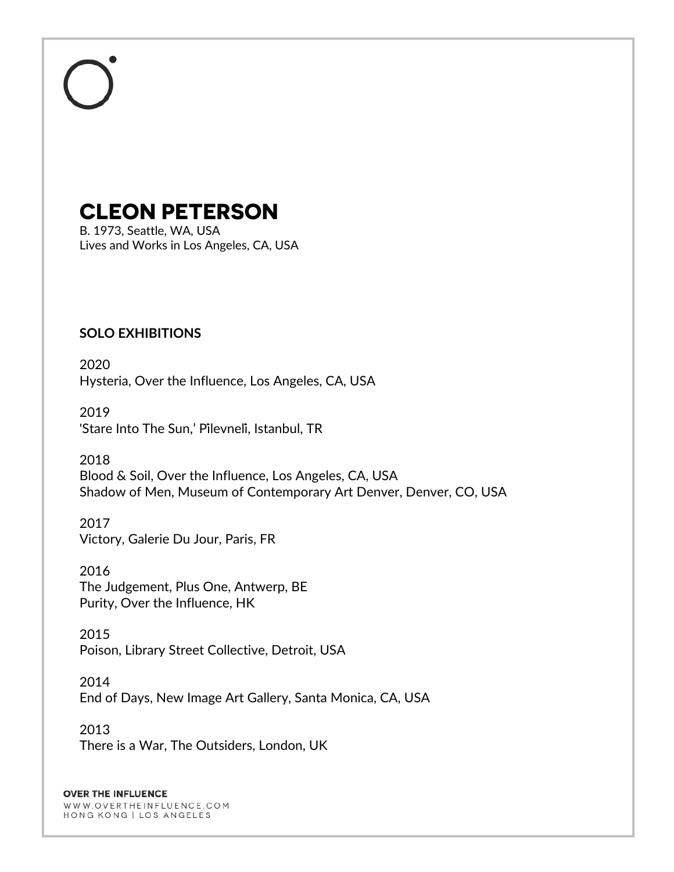# **CLEON PETERSON**

B. 1973, Seattle, WA, USA Lives and Works in Los Angeles, CA, USA

## **SOLO EXHIBITIONS**

2020 Hysteria, Over the Influence, Los Angeles, CA, USA

2019 'Stare Into The Sun,' Pi̇levneli̇, Istanbul, TR

2018 Blood & Soil, Over the Influence, Los Angeles, CA, USA Shadow of Men, Museum of Contemporary Art Denver, Denver, CO, USA

2017 Victory, Galerie Du Jour, Paris, FR

2016 The Judgement, Plus One, Antwerp, BE Purity, Over the Influence, HK

2015 Poison, Library Street Collective, Detroit, USA

2014 End of Days, New Image Art Gallery, Santa Monica, CA, USA

2013 There is a War, The Outsiders, London, UK

### **OVER THE INFLUENCE**

WWW.OVERTHEINFLUENCE.COM HONG KONG | LOS ANGELES